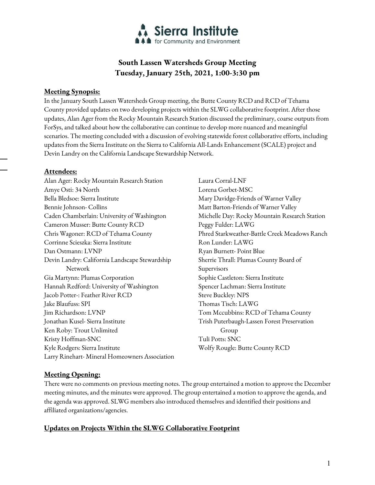

# **South Lassen Watersheds Group Meeting Tuesday, January 25th, 2021, 1:00-3:30 pm**

### **Meeting Synopsis:**

In the January South Lassen Watersheds Group meeting, the Butte County RCD and RCD of Tehama County provided updates on two developing projects within the SLWG collaborative footprint. After those updates, Alan Ager from the Rocky Mountain Research Station discussed the preliminary, coarse outputs from ForSys, and talked about how the collaborative can continue to develop more nuanced and meaningful scenarios. The meeting concluded with a discussion of evolving statewide forest collaborative efforts, including updates from the Sierra Institute on the Sierra to California All-Lands Enhancement (SCALE) project and Devin Landry on the California Landscape Stewardship Network.

### **Attendees:**

- Alan Ager: Rocky Mountain Research Station Amye Osti: 34 North Bella Bledsoe: Sierra Institute Bennie Johnson- Collins Caden Chamberlain: University of Washington Cameron Musser: Butte County RCD Chris Wagoner: RCD of Tehama County Corrinne Scieszka: Sierra Institute Dan Ostmann: LVNP Devin Landry: California Landscape Stewardship Network Gia Martynn: Plumas Corporation Hannah Redford: University of Washington Jacob Potter: Feather River RCD Jake Blaufuss: SPI Jim Richardson: LVNP Jonathan Kusel- Sierra Institute Ken Roby: Trout Unlimited Kristy Hoffman-SNC Kyle Rodgers: Sierra Institute Larry Rinehart- Mineral Homeowners Association
- Laura Corral-LNF Lorena Gorbet-MSC Mary Davidge-Friends of Warner Valley Matt Barton-Friends of Warner Valley Michelle Day: Rocky Mountain Research Station Peggy Fulder: LAWG Phred Starkweather-Battle Creek Meadows Ranch Ron Lunder: LAWG Ryan Burnett- Point Blue Sherrie Thrall: Plumas County Board of Supervisors Sophie Castleton: Sierra Institute Spencer Lachman: Sierra Institute Steve Buckley: NPS Thomas Tisch: LAWG Tom Mccubbins: RCD of Tehama County Trish Puterbaugh-Lassen Forest Preservation Group Tuli Potts: SNC Wolfy Rougle: Butte County RCD

# **Meeting Opening:**

There were no comments on previous meeting notes. The group entertained a motion to approve the December meeting minutes, and the minutes were approved. The group entertained a motion to approve the agenda, and the agenda was approved. SLWG members also introduced themselves and identified their positions and affiliated organizations/agencies.

# **Updates on Projects Within the SLWG Collaborative Footprint**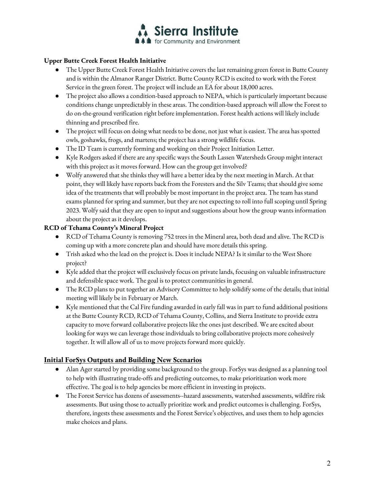

### **Upper Butte Creek Forest Health Initiative**

- The Upper Butte Creek Forest Health Initiative covers the last remaining green forest in Butte County and is within the Almanor Ranger District. Butte County RCD is excited to work with the Forest Service in the green forest. The project will include an EA for about 18,000 acres.
- The project also allows a condition-based approach to NEPA, which is particularly important because conditions change unpredictably in these areas. The condition-based approach will allow the Forest to do on-the-ground verification right before implementation. Forest health actions will likely include thinning and prescribed fire.
- The project will focus on doing what needs to be done, not just what is easiest. The area has spotted owls, goshawks, frogs, and martens; the project has a strong wildlife focus.
- The ID Team is currently forming and working on their Project Initiation Letter.
- Kyle Rodgers asked if there are any specific ways the South Lassen Watersheds Group might interact with this project as it moves forward. How can the group get involved?
- Wolfy answered that she thinks they will have a better idea by the next meeting in March. At that point, they will likely have reports back from the Foresters and the Silv Teams; that should give some idea of the treatments that will probably be most important in the project area. The team has stand exams planned for spring and summer, but they are not expecting to roll into full scoping until Spring 2023. Wolfy said that they are open to input and suggestions about how the group wants information about the project as it develops.

### **RCD of Tehama County's Mineral Project**

- RCD of Tehama County is removing 752 trees in the Mineral area, both dead and alive. The RCD is coming up with a more concrete plan and should have more details this spring.
- Trish asked who the lead on the project is. Does it include NEPA? Is it similar to the West Shore project?
- Kyle added that the project will exclusively focus on private lands, focusing on valuable infrastructure and defensible space work. The goal is to protect communities in general.
- The RCD plans to put together an Advisory Committee to help solidify some of the details; that initial meeting will likely be in February or March.
- Kyle mentioned that the Cal Fire funding awarded in early fall was in part to fund additional positions at the Butte County RCD, RCD of Tehama County, Collins, and Sierra Institute to provide extra capacity to move forward collaborative projects like the ones just described. We are excited about looking for ways we can leverage those individuals to bring collaborative projects more cohesively together. It will allow all of us to move projects forward more quickly.

# **Initial ForSys Outputs and Building New Scenarios**

- Alan Ager started by providing some background to the group. ForSys was designed as a planning tool to help with illustrating trade-offs and predicting outcomes, to make prioritization work more effective. The goal is to help agencies be more efficient in investing in projects.
- The Forest Service has dozens of assessments--hazard assessments, watershed assessments, wildfire risk assessments. But using those to actually prioritize work and predict outcomes is challenging. ForSys, therefore, ingests these assessments and the Forest Service's objectives, and uses them to help agencies make choices and plans.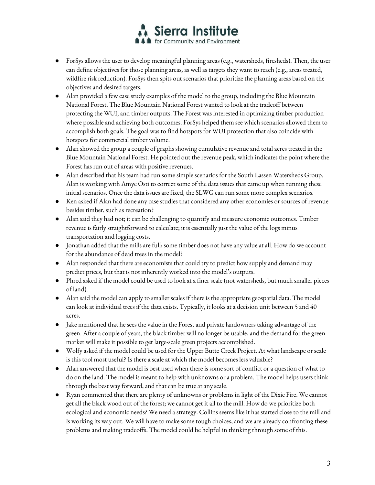

- ForSys allows the user to develop meaningful planning areas (e.g., watersheds, firesheds). Then, the user can define objectives for those planning areas, as well as targets they want to reach (e.g., areas treated, wildfire risk reduction). ForSys then spits out scenarios that prioritize the planning areas based on the objectives and desired targets.
- Alan provided a few case study examples of the model to the group, including the Blue Mountain National Forest. The Blue Mountain National Forest wanted to look at the tradeoff between protecting the WUI, and timber outputs. The Forest was interested in optimizing timber production where possible and achieving both outcomes. ForSys helped them see which scenarios allowed them to accomplish both goals. The goal was to find hotspots for WUI protection that also coincide with hotspots for commercial timber volume.
- Alan showed the group a couple of graphs showing cumulative revenue and total acres treated in the Blue Mountain National Forest. He pointed out the revenue peak, which indicates the point where the Forest has run out of areas with positive revenues.
- Alan described that his team had run some simple scenarios for the South Lassen Watersheds Group. Alan is working with Amye Osti to correct some of the data issues that came up when running these initial scenarios. Once the data issues are fixed, the SLWG can run some more complex scenarios.
- Ken asked if Alan had done any case studies that considered any other economies or sources of revenue besides timber, such as recreation?
- Alan said they had not; it can be challenging to quantify and measure economic outcomes. Timber revenue is fairly straightforward to calculate; it is essentially just the value of the logs minus transportation and logging costs.
- Jonathan added that the mills are full; some timber does not have any value at all. How do we account for the abundance of dead trees in the model?
- Alan responded that there are economists that could try to predict how supply and demand may predict prices, but that is not inherently worked into the model's outputs.
- Phred asked if the model could be used to look at a finer scale (not watersheds, but much smaller pieces of land).
- Alan said the model can apply to smaller scales if there is the appropriate geospatial data. The model can look at individual trees if the data exists. Typically, it looks at a decision unit between 5 and 40 acres.
- Jake mentioned that he sees the value in the Forest and private landowners taking advantage of the green. After a couple of years, the black timber will no longer be usable, and the demand for the green market will make it possible to get large-scale green projects accomplished.
- Wolfy asked if the model could be used for the Upper Butte Creek Project. At what landscape or scale is this tool most useful? Is there a scale at which the model becomes less valuable?
- Alan answered that the model is best used when there is some sort of conflict or a question of what to do on the land. The model is meant to help with unknowns or a problem. The model helps users think through the best way forward, and that can be true at any scale.
- Ryan commented that there are plenty of unknowns or problems in light of the Dixie Fire. We cannot get all the black wood out of the forest; we cannot get it all to the mill. How do we prioritize both ecological and economic needs? We need a strategy. Collins seems like it has started close to the mill and is working its way out. We will have to make some tough choices, and we are already confronting these problems and making tradeoffs. The model could be helpful in thinking through some of this.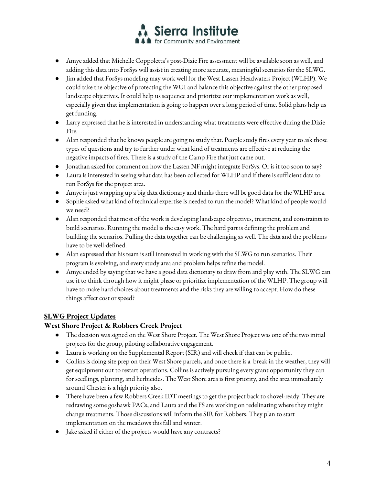

- Amye added that Michelle Coppoletta's post-Dixie Fire assessment will be available soon as well, and adding this data into ForSys will assist in creating more accurate, meaningful scenarios for the SLWG.
- Jim added that ForSys modeling may work well for the West Lassen Headwaters Project (WLHP). We could take the objective of protecting the WUI and balance this objective against the other proposed landscape objectives. It could help us sequence and prioritize our implementation work as well, especially given that implementation is going to happen over a long period of time. Solid plans help us get funding.
- Larry expressed that he is interested in understanding what treatments were effective during the Dixie Fire.
- Alan responded that he knows people are going to study that. People study fires every year to ask those types of questions and try to further under what kind of treatments are effective at reducing the negative impacts of fires. There is a study of the Camp Fire that just came out.
- Jonathan asked for comment on how the Lassen NF might integrate ForSys. Or is it too soon to say?
- Laura is interested in seeing what data has been collected for WLHP and if there is sufficient data to run ForSys for the project area.
- Amye is just wrapping up a big data dictionary and thinks there will be good data for the WLHP area.
- Sophie asked what kind of technical expertise is needed to run the model? What kind of people would we need?
- Alan responded that most of the work is developing landscape objectives, treatment, and constraints to build scenarios. Running the model is the easy work. The hard part is defining the problem and building the scenarios. Pulling the data together can be challenging as well. The data and the problems have to be well-defined.
- Alan expressed that his team is still interested in working with the SLWG to run scenarios. Their program is evolving, and every study area and problem helps refine the model.
- Amye ended by saying that we have a good data dictionary to draw from and play with. The SLWG can use it to think through how it might phase or prioritize implementation of the WLHP. The group will have to make hard choices about treatments and the risks they are willing to accept. How do these things affect cost or speed?

# **SLWG Project Updates**

# **West Shore Project & Robbers Creek Project**

- The decision was signed on the West Shore Project. The West Shore Project was one of the two initial projects for the group, piloting collaborative engagement.
- Laura is working on the Supplemental Report (SIR) and will check if that can be public.
- Collins is doing site prep on their West Shore parcels, and once there is a break in the weather, they will get equipment out to restart operations. Collins is actively pursuing every grant opportunity they can for seedlings, planting, and herbicides. The West Shore area is first priority, and the area immediately around Chester is a high priority also.
- There have been a few Robbers Creek IDT meetings to get the project back to shovel-ready. They are redrawing some goshawk PACs, and Laura and the FS are working on redelinating where they might change treatments. Those discussions will inform the SIR for Robbers. They plan to start implementation on the meadows this fall and winter.
- Jake asked if either of the projects would have any contracts?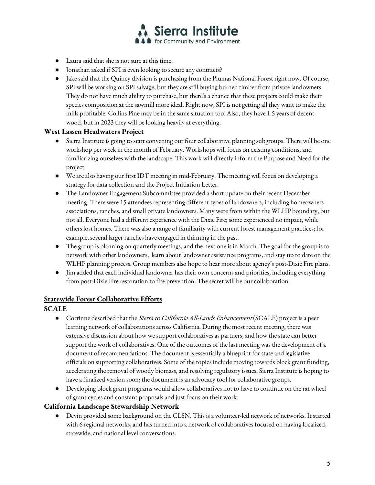

- Laura said that sheis not sure at this time.
- Jonathan asked if SPI is even looking to secure any contracts?
- Jake said that the Quincy division is purchasing from the Plumas National Forest right now. Of course, SPI will be working on SPI salvage, but they are still buying burned timber from private landowners. They do not have much ability to purchase, but there's a chance that these projects could make their species composition at the sawmill more ideal. Right now, SPI is not getting all they want to make the mills profitable. Collins Pine may be in the same situation too. Also, they have 1.5 years of decent wood, but in 2023 they will be looking heavily at everything.

#### **West Lassen Headwaters Project**

- Sierra Institute is going to start convening our four collaborative planning subgroups. There will be one workshop per week in the month of February. Workshops will focus on existing conditions, and familiarizing ourselves with the landscape. This work will directly inform the Purpose and Need for the project.
- We are also having our first IDT meeting in mid-February. The meeting will focus on developing a strategy for data collection and the Project Initiation Letter.
- The Landowner Engagement Subcommittee provided a short update on their recent December meeting. There were 15 attendees representing different types of landowners, including homeowners associations, ranches, and small private landowners. Many were from within the WLHP boundary, but not all. Everyone had a different experience with the Dixie Fire; some experienced no impact, while others lost homes. There was also a range of familiarity with current forest management practices; for example, several larger ranches have engaged in thinning in the past.
- The group is planning on quarterly meetings, and the next one is in March. The goal for the group is to network with other landowners, learn about landowner assistance programs, and stay up to date on the WLHP planning process. Group members also hope to hear more about agency's post-Dixie Fire plans.
- Jim added that each individual landowner has their own concerns and priorities, including everything from post-Dixie Fire restoration to fire prevention. The secret will be our collaboration.

#### **Statewide Forest Collaborative Efforts**

**SCALE**

- Corrinne described that the *Sierra to California All-Lands Enhancement* (SCALE) project is a peer learning network of collaborations across California. During the most recent meeting, there was extensive discussion about how we support collaboratives as partners, and how the state can better support the work of collaboratives. One of the outcomes of the last meeting was the development of a document of recommendations. The document is essentially a blueprint for state and legislative officials on supporting collaboratives. Some of the topics include moving towards block grant funding, accelerating the removal of woody biomass, and resolving regulatory issues. Sierra Institute is hoping to have a finalized version soon; the document is an advocacy tool for collaborative groups.
- Developing block grant programs would allow collaboratives not to have to continue on the rat wheel of grant cycles and constant proposals and just focus on their work.

# **California Landscape Stewardship Network**

● Devin provided some background on the CLSN. This is a volunteer-led network of networks. It started with 6 regional networks, and has turned into a network of collaboratives focused on having localized, statewide, and national level conversations.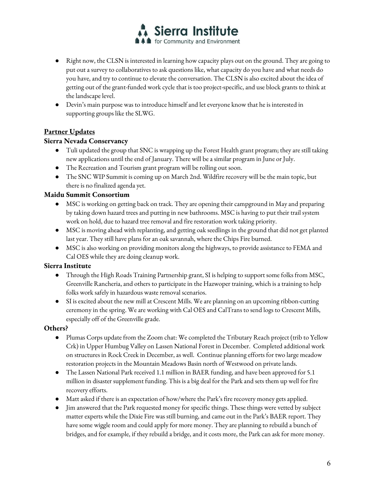

- Right now, the CLSN is interested in learning how capacity plays out on the ground. They are going to put out a survey to collaboratives to ask questions like, what capacity do you have and what needs do you have, and try to continue to elevate the conversation. The CLSN is also excited about the idea of getting out of the grant-funded work cycle that is too project-specific, and use block grants to think at the landscape level.
- Devin's main purpose was to introduce himself and let everyone know that he is interested in supporting groups like the SLWG.

# **Partner Updates**

### **Sierra Nevada Conservancy**

- Tuli updated the group that SNC is wrapping up the Forest Health grant program; they are still taking new applications until the end of January. There will be a similar program in June or July.
- The Recreation and Tourism grant program will be rolling out soon.
- The SNC WIP Summit is coming up on March 2nd. Wildfire recovery will be the main topic, but there is no finalized agenda yet.

# **Maidu Summit Consortium**

- MSC is working on getting back on track. They are opening their campground in May and preparing by taking down hazard trees and putting in new bathrooms. MSC is having to put their trail system work on hold, due to hazard tree removal and fire restoration work taking priority.
- MSC is moving ahead with replanting, and getting oak seedlings in the ground that did not get planted last year. They still have plans for an oak savannah, where the Chips Fire burned.
- MSC is also working on providing monitors along the highways, to provide assistance to FEMA and Cal OES while they are doing cleanup work.

# **Sierra Institute**

- Through the High Roads Training Partnership grant, SI is helping to support some folks from MSC, Greenville Rancheria, and others to participate in the Hazwoper training, which is a training to help folks work safely in hazardous waste removal scenarios.
- SI is excited about the new mill at Crescent Mills. We are planning on an upcoming ribbon-cutting ceremony in the spring. We are working with Cal OES and CalTrans to send logs to Crescent Mills, especially off of the Greenville grade.

# **Others?**

- Plumas Corps update from the Zoom chat: We completed the Tributary Reach project (trib to Yellow Crk) in Upper Humbug Valley on Lassen National Forest in December. Completed additional work on structures in Rock Creek in December, as well. Continue planning efforts for two large meadow restoration projects in the Mountain Meadows Basin north of Westwood on private lands.
- The Lassen National Park received 1.1 million in BAER funding, and have been approved for 5.1 million in disaster supplement funding. This is a big deal for the Park and sets them up well for fire recovery efforts.
- Matt asked if there is an expectation of how/where the Park's fire recovery money gets applied.
- Jim answered that the Park requested money for specific things. These things were vetted by subject matter experts while the Dixie Fire was still burning, and came out in the Park's BAER report. They have some wiggle room and could apply for more money. They are planning to rebuild a bunch of bridges, and for example, if they rebuild a bridge, and it costs more, the Park can ask for more money.